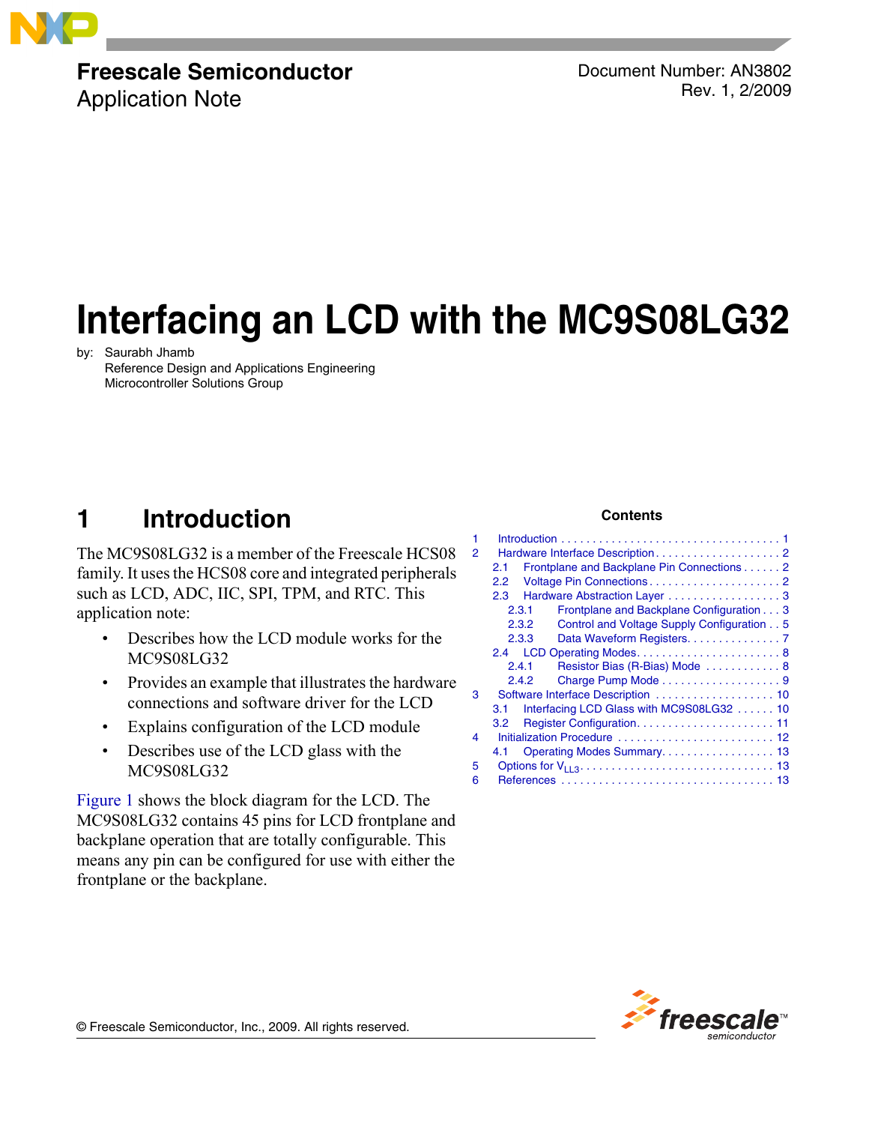

# **Freescale Semiconductor**

Application Note

Document Number: AN3802 Rev. 1, 2/2009

# **Interfacing an LCD with the MC9S08LG32**

by: Saurabh Jhamb Reference Design and Applications Engineering Microcontroller Solutions Group

# <span id="page-0-0"></span>**1 Introduction**

The MC9S08LG32 is a member of the Freescale HCS08 family. It uses the HCS08 core and integrated peripherals such as LCD, ADC, IIC, SPI, TPM, and RTC. This application note:

- Describes how the LCD module works for the MC9S08LG32
- Provides an example that illustrates the hardware connections and software driver for the LCD
- Explains configuration of the LCD module
- Describes use of the LCD glass with the MC9S08LG32

[Figure 1](#page-1-3) shows the block diagram for the LCD. The MC9S08LG32 contains 45 pins for LCD frontplane and backplane operation that are totally configurable. This means any pin can be configured for use with either the frontplane or the backplane.

### **Contents**

| 1<br>$\overline{2}$ |                  |       |                                            |
|---------------------|------------------|-------|--------------------------------------------|
|                     | 2.1              |       | Frontplane and Backplane Pin Connections 2 |
|                     | 2.2              |       |                                            |
|                     | $2.3 -$          |       | Hardware Abstraction Layer 3               |
|                     |                  | 2.3.1 | Frontplane and Backplane Configuration 3   |
|                     |                  | 2.3.2 | Control and Voltage Supply Configuration 5 |
|                     |                  | 2.3.3 | Data Waveform Registers. 7                 |
|                     |                  |       |                                            |
|                     |                  | 2.4.1 | Resistor Bias (R-Bias) Mode  8             |
|                     |                  | 2.4.2 | Charge Pump Mode 9                         |
| 3                   |                  |       | Software Interface Description  10         |
|                     | 3.1              |       | Interfacing LCD Glass with MC9S08LG32  10  |
|                     | 3.2 <sub>1</sub> |       |                                            |
| 4                   |                  |       | Initialization Procedure  12               |
|                     | 4.1              |       |                                            |
| 5                   |                  |       |                                            |
| 6                   |                  |       |                                            |
|                     |                  |       |                                            |



© Freescale Semiconductor, Inc., 2009. All rights reserved.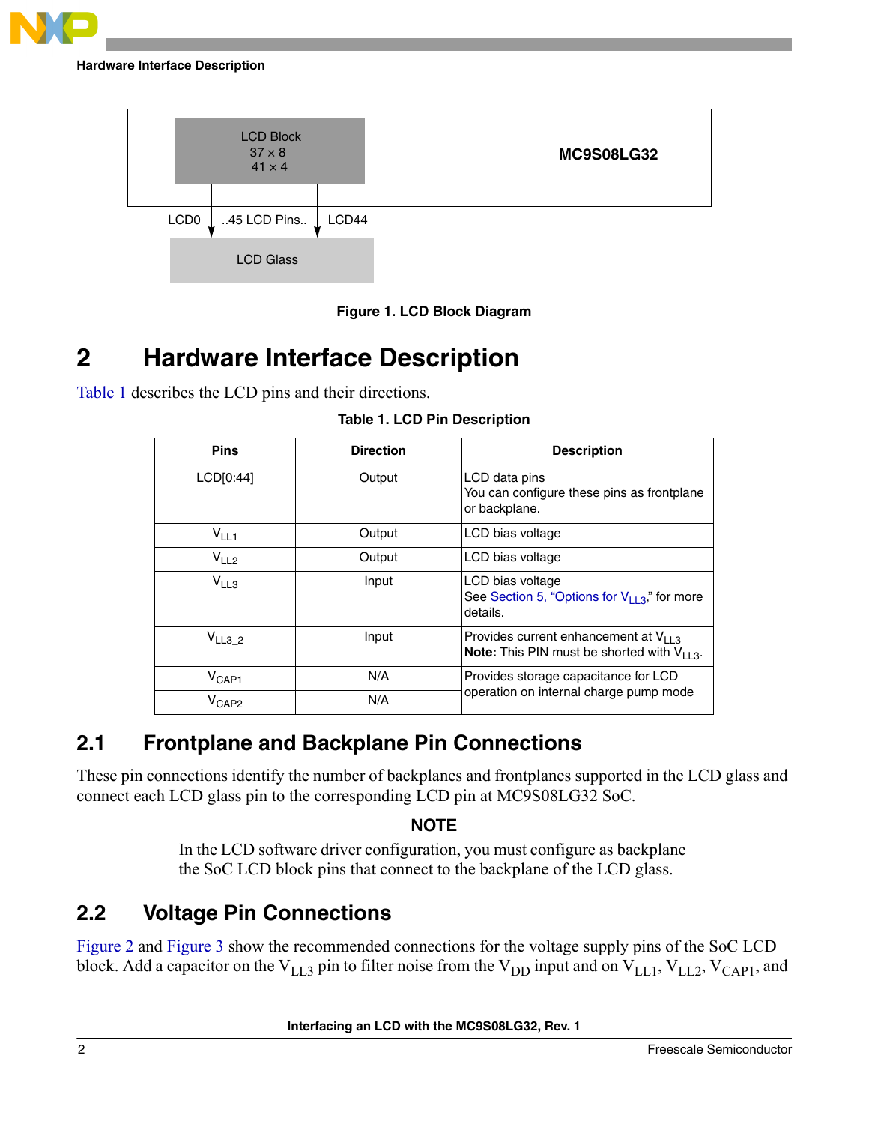





# <span id="page-1-3"></span><span id="page-1-0"></span>**2 Hardware Interface Description**

<span id="page-1-4"></span>[Table 1](#page-1-4) describes the LCD pins and their directions.

| <b>Pins</b>       | <b>Direction</b> | <b>Description</b>                                                                                    |
|-------------------|------------------|-------------------------------------------------------------------------------------------------------|
| LCD[0:44]         | Output           | LCD data pins<br>You can configure these pins as frontplane<br>or backplane.                          |
| $V_{LL1}$         | Output           | LCD bias voltage                                                                                      |
| V <sub>LL2</sub>  | Output           | LCD bias voltage                                                                                      |
| $V_{LL3}$         | Input            | LCD bias voltage<br>See Section 5, "Options for $V_{1,1,3}$ " for more<br>details.                    |
| $V_{LL3_2}$       | Input            | Provides current enhancement at $V_{11,3}$<br><b>Note:</b> This PIN must be shorted with $V_{11,3}$ . |
| $V_{\text{CAP1}}$ | N/A              | Provides storage capacitance for LCD                                                                  |
| $V_{\text{CAP2}}$ | N/A              | operation on internal charge pump mode                                                                |

**Table 1. LCD Pin Description**

# <span id="page-1-1"></span>**2.1 Frontplane and Backplane Pin Connections**

These pin connections identify the number of backplanes and frontplanes supported in the LCD glass and connect each LCD glass pin to the corresponding LCD pin at MC9S08LG32 SoC.

### **NOTE**

In the LCD software driver configuration, you must configure as backplane the SoC LCD block pins that connect to the backplane of the LCD glass.

# <span id="page-1-2"></span>**2.2 Voltage Pin Connections**

[Figure 2](#page-2-2) and [Figure 3](#page-2-3) show the recommended connections for the voltage supply pins of the SoC LCD block. Add a capacitor on the  $V_{LL3}$  pin to filter noise from the  $V_{DD}$  input and on  $V_{LL1}$ ,  $V_{LL2}$ ,  $V_{CAP1}$ , and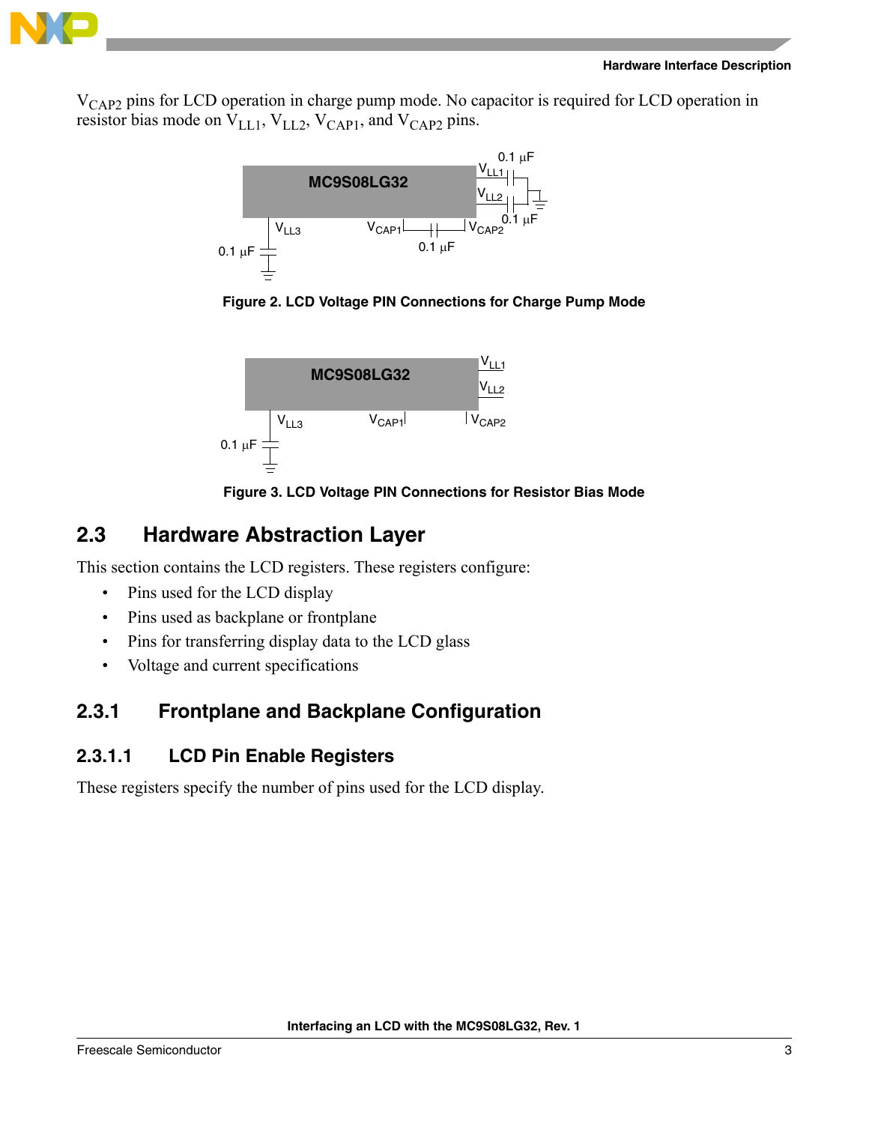

V<sub>CAP2</sub> pins for LCD operation in charge pump mode. No capacitor is required for LCD operation in resistor bias mode on  $V_{\text{LL1}}$ ,  $V_{\text{LL2}}$ ,  $V_{\text{CAP1}}$ , and  $V_{\text{CAP2}}$  pins.



<span id="page-2-2"></span>





# <span id="page-2-3"></span><span id="page-2-0"></span>**2.3 Hardware Abstraction Layer**

This section contains the LCD registers. These registers configure:

- Pins used for the LCD display
- Pins used as backplane or frontplane
- Pins for transferring display data to the LCD glass
- Voltage and current specifications

# <span id="page-2-1"></span>**2.3.1 Frontplane and Backplane Configuration**

### **2.3.1.1 LCD Pin Enable Registers**

These registers specify the number of pins used for the LCD display.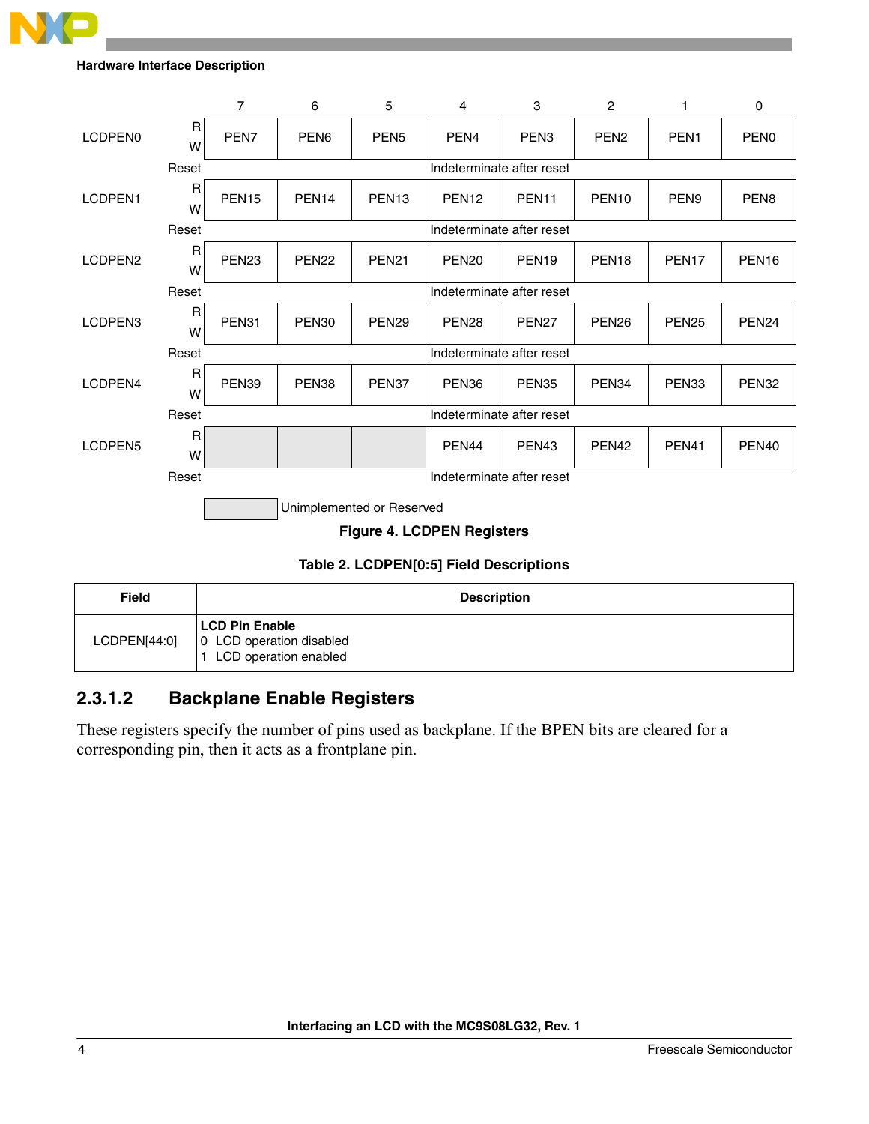

|                           |                                         | $\overline{7}$            | 6                         | 5                 | 4                                 | 3                         | $\overline{c}$    | 1                 | 0                 |  |
|---------------------------|-----------------------------------------|---------------------------|---------------------------|-------------------|-----------------------------------|---------------------------|-------------------|-------------------|-------------------|--|
| LCDPEN <sub>0</sub>       | $\mathsf R$<br>W                        | PEN7                      | PEN <sub>6</sub>          | PEN <sub>5</sub>  | PEN <sub>4</sub>                  | PEN <sub>3</sub>          | PEN <sub>2</sub>  | PEN <sub>1</sub>  | PEN <sub>0</sub>  |  |
|                           | Reset                                   |                           |                           |                   |                                   | Indeterminate after reset |                   |                   |                   |  |
| LCDPEN1                   | $\mathsf{R}$<br>W                       | PEN <sub>15</sub>         | PEN <sub>14</sub>         | PEN <sub>13</sub> | PEN <sub>12</sub>                 | PEN <sub>11</sub>         | PEN <sub>10</sub> | PEN <sub>9</sub>  | PEN <sub>8</sub>  |  |
|                           | Reset                                   |                           | Indeterminate after reset |                   |                                   |                           |                   |                   |                   |  |
| LCDPEN <sub>2</sub>       | $\mathsf R$<br>W                        | PEN <sub>23</sub>         | PEN <sub>22</sub>         | <b>PEN21</b>      | PEN <sub>20</sub>                 | PEN <sub>19</sub>         | PEN <sub>18</sub> | PEN <sub>17</sub> | PEN <sub>16</sub> |  |
|                           | Reset                                   |                           | Indeterminate after reset |                   |                                   |                           |                   |                   |                   |  |
| LCDPEN3                   | $\mathsf R$<br>W                        | PEN31                     | PEN <sub>30</sub>         | PEN <sub>29</sub> | PEN <sub>28</sub>                 | PEN <sub>27</sub>         | PEN <sub>26</sub> | <b>PEN25</b>      | PEN <sub>24</sub> |  |
|                           | Reset                                   |                           |                           |                   |                                   | Indeterminate after reset |                   |                   |                   |  |
| LCDPEN4                   | $\mathsf R$<br>W                        | PEN39                     | PEN38                     | PEN37             | PEN <sub>36</sub>                 | PEN <sub>35</sub>         | PEN <sub>34</sub> | PEN <sub>33</sub> | PEN32             |  |
|                           | Reset                                   | Indeterminate after reset |                           |                   |                                   |                           |                   |                   |                   |  |
| LCDPEN5                   | R<br>W                                  |                           |                           |                   | PEN <sub>44</sub>                 | PEN <sub>43</sub>         | PEN <sub>42</sub> | PEN <sub>41</sub> | PEN <sub>40</sub> |  |
|                           | Reset                                   |                           |                           |                   | Indeterminate after reset         |                           |                   |                   |                   |  |
| Unimplemented or Reserved |                                         |                           |                           |                   |                                   |                           |                   |                   |                   |  |
|                           |                                         |                           |                           |                   | <b>Figure 4. LCDPEN Registers</b> |                           |                   |                   |                   |  |
|                           | Table 2. LCDPEN[0:5] Field Descriptions |                           |                           |                   |                                   |                           |                   |                   |                   |  |

| <b>Field</b> | <b>Description</b>                                                    |
|--------------|-----------------------------------------------------------------------|
| LCDPEN[44:0] | LCD Pin Enable<br>0 LCD operation disabled<br>1 LCD operation enabled |

### **2.3.1.2 Backplane Enable Registers**

These registers specify the number of pins used as backplane. If the BPEN bits are cleared for a corresponding pin, then it acts as a frontplane pin.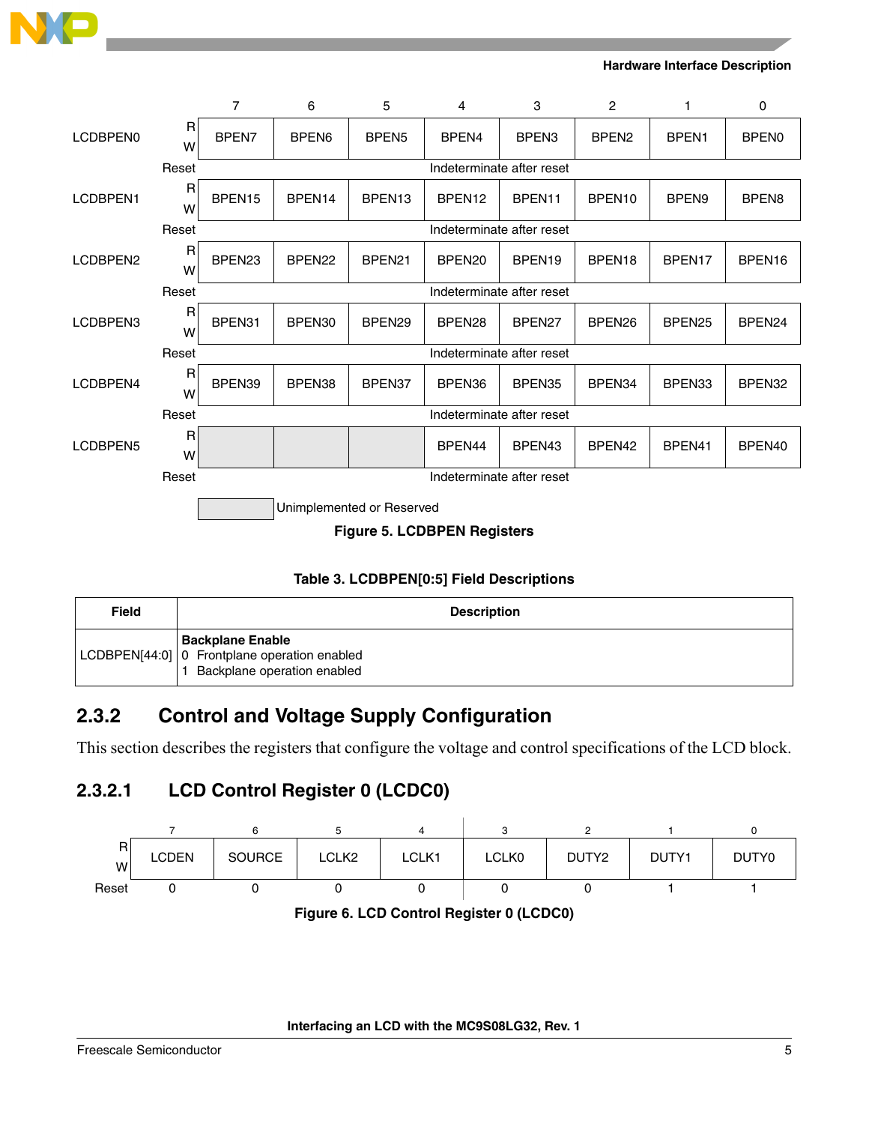

|                                    |                     | 7                         | 6                  | 5                         | 4                  | 3                         | 2                  | 1                  | 0                  |
|------------------------------------|---------------------|---------------------------|--------------------|---------------------------|--------------------|---------------------------|--------------------|--------------------|--------------------|
| LCDBPEN0                           | $\mathsf{R}$<br>W   | BPEN7                     | BPEN <sub>6</sub>  | BPEN <sub>5</sub>         | BPEN4              | BPEN <sub>3</sub>         | BPEN <sub>2</sub>  | BPEN1              | <b>BPEN0</b>       |
|                                    | Reset               |                           |                    |                           |                    | Indeterminate after reset |                    |                    |                    |
| LCDBPEN1                           | $\mathsf R$<br>W    | BPEN <sub>15</sub>        | BPEN14             | BPEN13                    | BPEN <sub>12</sub> | BPEN11                    | BPEN10             | BPEN <sub>9</sub>  | BPEN <sub>8</sub>  |
|                                    | Reset               |                           |                    |                           |                    | Indeterminate after reset |                    |                    |                    |
| LCDBPEN2                           | $\overline{R}$<br>W | BPEN <sub>23</sub>        | BPEN <sub>22</sub> | BPEN <sub>21</sub>        | BPEN20             | BPEN <sub>19</sub>        | BPEN <sub>18</sub> | BPEN17             | BPEN16             |
|                                    | Reset               |                           |                    |                           |                    | Indeterminate after reset |                    |                    |                    |
| LCDBPEN3                           | $\mathsf{R}$<br>W   | BPEN31                    | BPEN30             | BPEN <sub>29</sub>        | BPEN <sub>28</sub> | BPEN <sub>27</sub>        | BPEN <sub>26</sub> | BPEN <sub>25</sub> | BPEN <sub>24</sub> |
|                                    | Reset               | Indeterminate after reset |                    |                           |                    |                           |                    |                    |                    |
| LCDBPEN4                           | $\mathsf{R}$<br>W   | BPEN39                    | BPEN38             | BPEN37                    | BPEN36             | BPEN35                    | BPEN34             | BPEN33             | BPEN32             |
|                                    | Reset               | Indeterminate after reset |                    |                           |                    |                           |                    |                    |                    |
| LCDBPEN5                           | $\mathsf{R}$<br>W   |                           |                    |                           | BPEN44             | BPEN <sub>43</sub>        | BPEN <sub>42</sub> | BPEN41             | BPEN <sub>40</sub> |
|                                    | Reset               |                           |                    |                           |                    | Indeterminate after reset |                    |                    |                    |
|                                    |                     |                           |                    | Unimplemented or Reserved |                    |                           |                    |                    |                    |
| <b>Figure 5. LCDBPEN Registers</b> |                     |                           |                    |                           |                    |                           |                    |                    |                    |

### **Table 3. LCDBPEN[0:5] Field Descriptions**

| <b>Field</b> | <b>Description</b>                                                                                       |
|--------------|----------------------------------------------------------------------------------------------------------|
|              | <b>Backplane Enable</b><br>LCDBPEN[44:0]   0 Frontplane operation enabled<br>Backplane operation enabled |

# <span id="page-4-0"></span>**2.3.2 Control and Voltage Supply Configuration**

This section describes the registers that configure the voltage and control specifications of the LCD block.

### **2.3.2.1 LCD Control Register 0 (LCDC0)**



**Figure 6. LCD Control Register 0 (LCDC0)**

**Interfacing an LCD with the MC9S08LG32, Rev. 1**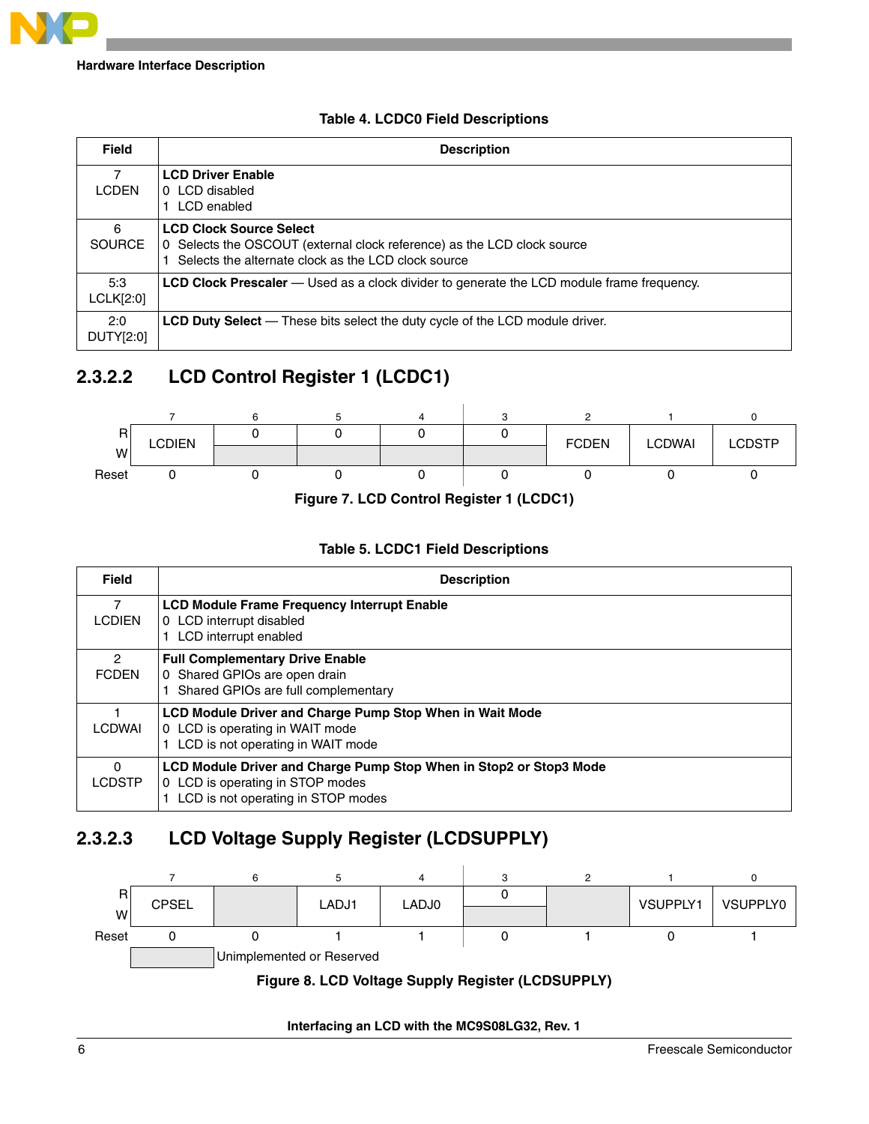

### **Table 4. LCDC0 Field Descriptions**

| <b>Field</b>       | <b>Description</b>                                                                                                                                                  |
|--------------------|---------------------------------------------------------------------------------------------------------------------------------------------------------------------|
| 7<br><b>LCDEN</b>  | <b>LCD Driver Enable</b><br>LCD disabled<br>0<br>LCD enabled                                                                                                        |
| 6<br><b>SOURCE</b> | <b>LCD Clock Source Select</b><br>Selects the OSCOUT (external clock reference) as the LCD clock source<br>0<br>Selects the alternate clock as the LCD clock source |
| 5:3<br>LCLK[2:0]   | <b>LCD Clock Prescaler</b> — Used as a clock divider to generate the LCD module frame frequency.                                                                    |
| 2:0<br>DUTY[2:0]   | <b>LCD Duty Select</b> — These bits select the duty cycle of the LCD module driver.                                                                                 |

## **2.3.2.2 LCD Control Register 1 (LCDC1)**



**Figure 7. LCD Control Register 1 (LCDC1)**

### **Table 5. LCDC1 Field Descriptions**

| <b>Field</b>              | <b>Description</b>                                                                                                                           |
|---------------------------|----------------------------------------------------------------------------------------------------------------------------------------------|
| 7<br><b>LCDIEN</b>        | <b>LCD Module Frame Frequency Interrupt Enable</b><br>0 LCD interrupt disabled<br>LCD interrupt enabled                                      |
| 2<br><b>FCDEN</b>         | <b>Full Complementary Drive Enable</b><br>0 Shared GPIOs are open drain<br>Shared GPIOs are full complementary                               |
| <b>LCDWAI</b>             | <b>LCD Module Driver and Charge Pump Stop When in Wait Mode</b><br>0 LCD is operating in WAIT mode<br>LCD is not operating in WAIT mode      |
| $\Omega$<br><b>LCDSTP</b> | LCD Module Driver and Charge Pump Stop When in Stop2 or Stop3 Mode<br>0 LCD is operating in STOP modes<br>LCD is not operating in STOP modes |

### **2.3.2.3 LCD Voltage Supply Register (LCDSUPPLY)**



**Figure 8. LCD Voltage Supply Register (LCDSUPPLY)**

**Interfacing an LCD with the MC9S08LG32, Rev. 1**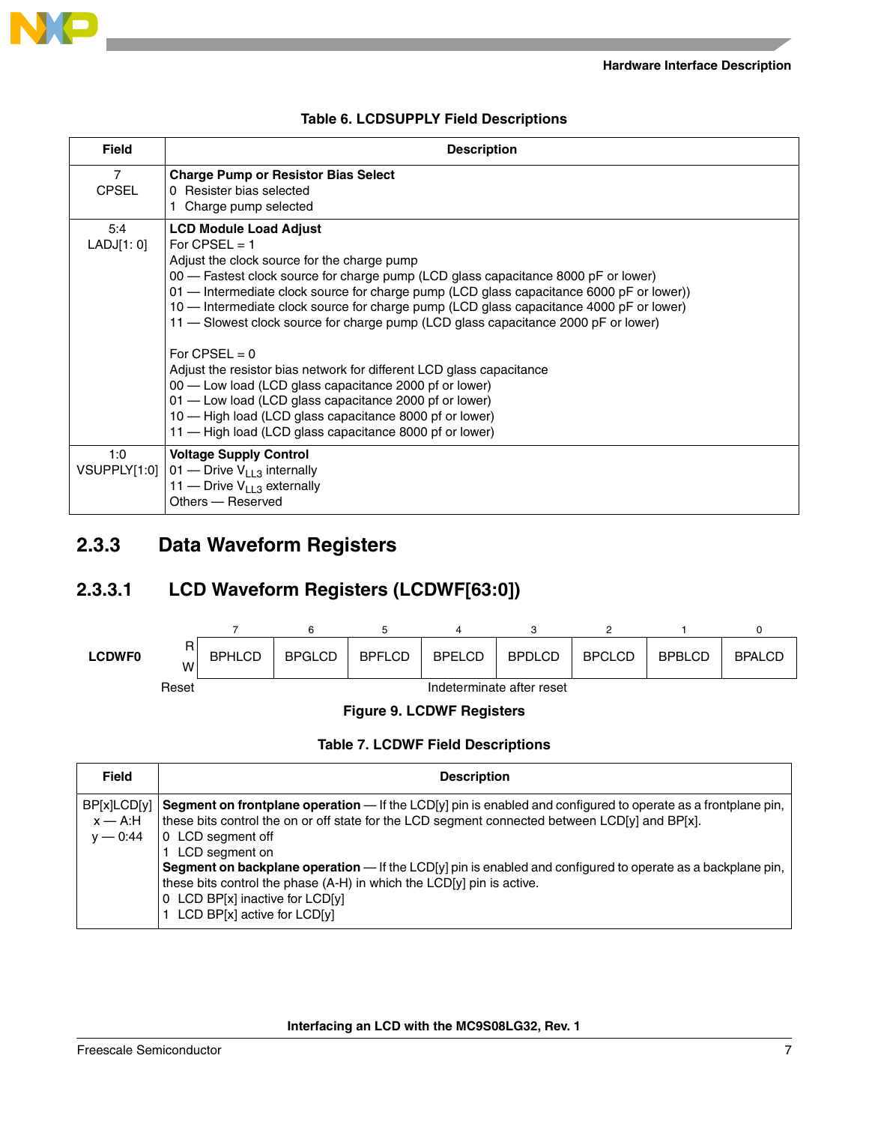

|  | <b>Table 6. LCDSUPPLY Field Descriptions</b> |  |  |
|--|----------------------------------------------|--|--|
|--|----------------------------------------------|--|--|

| <b>Field</b>      | <b>Description</b>                                                                                                                                                                                                                                                                                                                                                                                                                                                                                                                                                                                                                                                                                                                                                                                      |
|-------------------|---------------------------------------------------------------------------------------------------------------------------------------------------------------------------------------------------------------------------------------------------------------------------------------------------------------------------------------------------------------------------------------------------------------------------------------------------------------------------------------------------------------------------------------------------------------------------------------------------------------------------------------------------------------------------------------------------------------------------------------------------------------------------------------------------------|
| 7<br><b>CPSEL</b> | <b>Charge Pump or Resistor Bias Select</b><br>0 Resister bias selected<br>1 Charge pump selected                                                                                                                                                                                                                                                                                                                                                                                                                                                                                                                                                                                                                                                                                                        |
| 5:4<br>LADJ[1:0]  | <b>LCD Module Load Adjust</b><br>For $CPSEL = 1$<br>Adjust the clock source for the charge pump<br>00 — Fastest clock source for charge pump (LCD glass capacitance 8000 pF or lower)<br>01 - Intermediate clock source for charge pump (LCD glass capacitance 6000 pF or lower))<br>10 — Intermediate clock source for charge pump (LCD glass capacitance 4000 pF or lower)<br>11 - Slowest clock source for charge pump (LCD glass capacitance 2000 pF or lower)<br>For CPSEL = $0$<br>Adjust the resistor bias network for different LCD glass capacitance<br>00 — Low load (LCD glass capacitance 2000 pf or lower)<br>01 - Low load (LCD glass capacitance 2000 pf or lower)<br>10 — High load (LCD glass capacitance 8000 pf or lower)<br>11 — High load (LCD glass capacitance 8000 pf or lower) |
| 1:0               | <b>Voltage Supply Control</b><br>VSUPPLY[1:0] $ 01 - 01 $ Orive V <sub>113</sub> internally<br>11 — Drive $V_{113}$ externally<br>Others - Reserved                                                                                                                                                                                                                                                                                                                                                                                                                                                                                                                                                                                                                                                     |

### <span id="page-6-0"></span>**2.3.3 Data Waveform Registers**

### **2.3.3.1 LCD Waveform Registers (LCDWF[63:0])**



### **Table 7. LCDWF Field Descriptions**

| Field                                  | <b>Description</b>                                                                                                                                                                                                                                                                                                                                                                                                                                                                                                      |
|----------------------------------------|-------------------------------------------------------------------------------------------------------------------------------------------------------------------------------------------------------------------------------------------------------------------------------------------------------------------------------------------------------------------------------------------------------------------------------------------------------------------------------------------------------------------------|
| BP[x]LCD[y]<br>$x - A:H$<br>$v - 0:44$ | <b>Segment on frontplane operation</b> — If the LCD[y] pin is enabled and configured to operate as a frontplane pin,<br>these bits control the on or off state for the LCD segment connected between LCD[y] and BP[x].<br>0 LCD segment off<br>LCD segment on<br>Segment on backplane operation - If the LCD[y] pin is enabled and configured to operate as a backplane pin,<br>these bits control the phase (A-H) in which the LCD[y] pin is active.<br>0 LCD BP[x] inactive for LCD[y]<br>LCD BP[x] active for LCD[y] |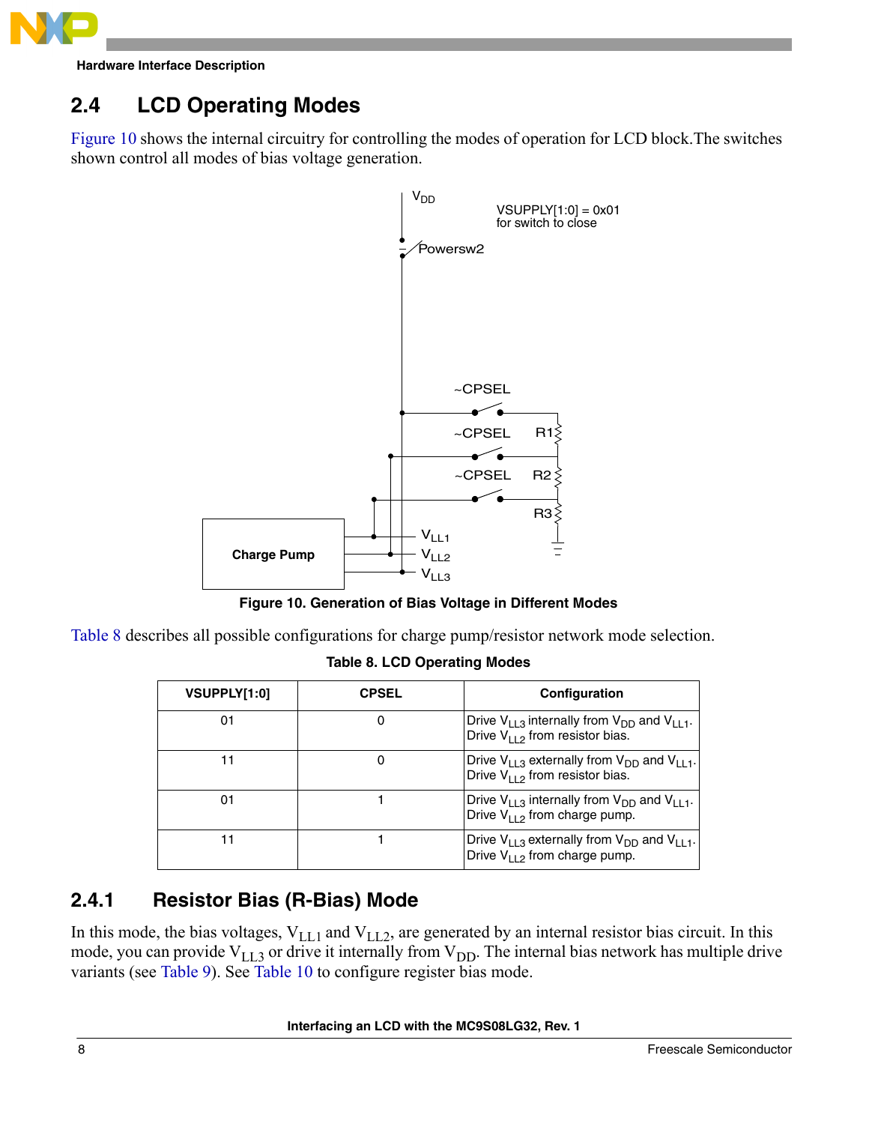

# <span id="page-7-0"></span>**2.4 LCD Operating Modes**

[Figure 10](#page-7-2) shows the internal circuitry for controlling the modes of operation for LCD block.The switches shown control all modes of bias voltage generation.



**Figure 10. Generation of Bias Voltage in Different Modes**

<span id="page-7-3"></span><span id="page-7-2"></span>[Table 8](#page-7-3) describes all possible configurations for charge pump/resistor network mode selection.

**Table 8. LCD Operating Modes**

| VSUPPLY[1:0] | <b>CPSEL</b> | Configuration                                                                                       |
|--------------|--------------|-----------------------------------------------------------------------------------------------------|
| 01           |              | Drive $V_{1,1,3}$ internally from $V_{DD}$ and $V_{1,1,1}$ .<br>Drive $V_{112}$ from resistor bias. |
|              |              | Drive $V_{1,1,3}$ externally from $V_{DD}$ and $V_{1,1,1}$ .<br>Drive $V_{112}$ from resistor bias. |
| 01           |              | Drive $V_{113}$ internally from $V_{DD}$ and $V_{113}$ .<br>Drive $V_{112}$ from charge pump.       |
|              |              | Drive $V_{1,1,3}$ externally from $V_{DD}$ and $V_{1,1,1}$ .<br>Drive $V_{112}$ from charge pump.   |

# <span id="page-7-1"></span>**2.4.1 Resistor Bias (R-Bias) Mode**

In this mode, the bias voltages,  $V_{LL1}$  and  $V_{LL2}$ , are generated by an internal resistor bias circuit. In this mode, you can provide  $V_{LL3}$  or drive it internally from  $V_{DD}$ . The internal bias network has multiple drive variants (see [Table 9\)](#page-8-1). See [Table 10](#page-8-2) to configure register bias mode.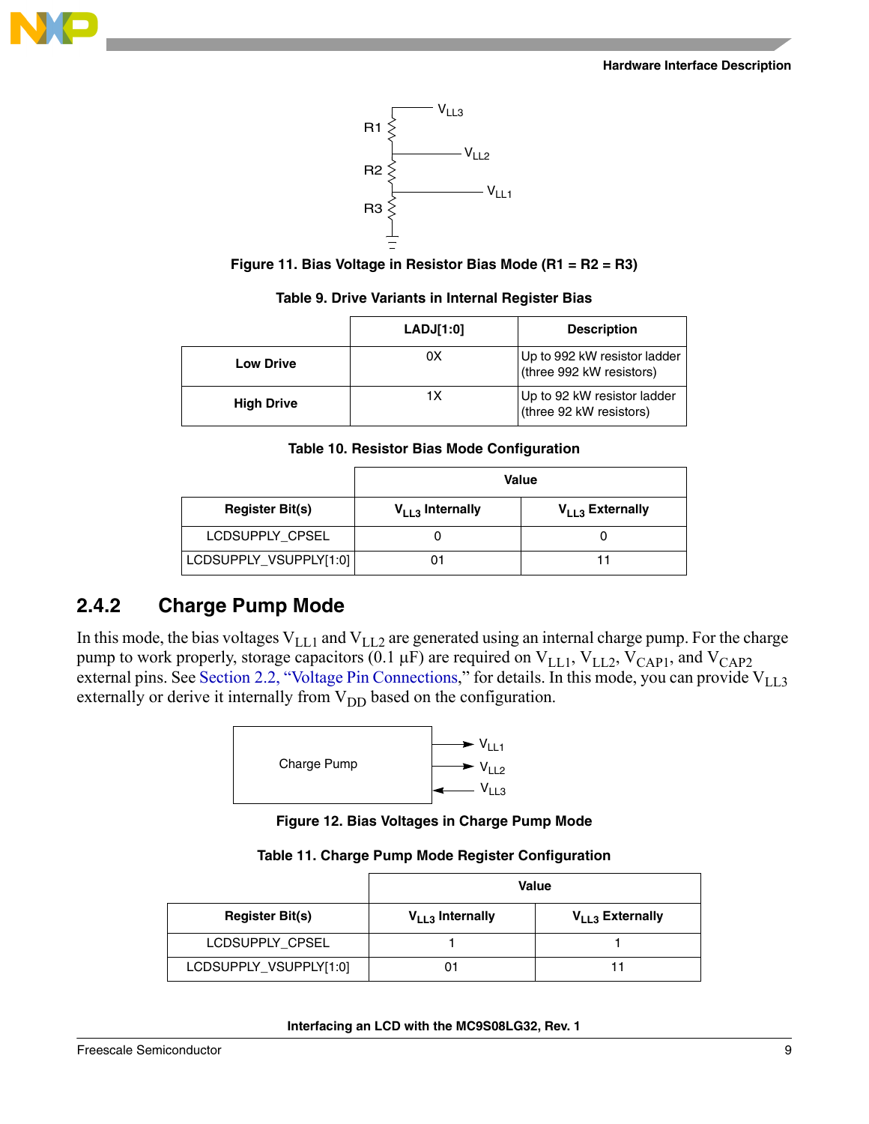





| Table 9. Drive Variants in Internal Register Bias |  |  |  |  |
|---------------------------------------------------|--|--|--|--|
|---------------------------------------------------|--|--|--|--|

<span id="page-8-1"></span>

|                   | LADJ[1:0] | <b>Description</b>                                       |
|-------------------|-----------|----------------------------------------------------------|
| <b>Low Drive</b>  | 0X        | Up to 992 kW resistor ladder<br>(three 992 kW resistors) |
| <b>High Drive</b> | 1Х        | Up to 92 kW resistor ladder<br>(three 92 kW resistors)   |

**Table 10. Resistor Bias Mode Configuration**

<span id="page-8-2"></span>

|                        | Value                |                             |  |
|------------------------|----------------------|-----------------------------|--|
| <b>Register Bit(s)</b> | $V_{LL3}$ Internally | V <sub>LL3</sub> Externally |  |
| LCDSUPPLY CPSEL        |                      |                             |  |
| LCDSUPPLY_VSUPPLY[1:0] | 01                   |                             |  |

# <span id="page-8-0"></span>**2.4.2 Charge Pump Mode**

In this mode, the bias voltages  $V_{LL1}$  and  $V_{LL2}$  are generated using an internal charge pump. For the charge pump to work properly, storage capacitors (0.1  $\mu$ F) are required on V<sub>LL1</sub>, V<sub>LL2</sub>, V<sub>CAP1</sub>, and V<sub>CAP2</sub> external pins. See [Section 2.2, "Voltage Pin Connections,](#page-1-2)" for details. In this mode, you can provide  $V_{LL,3}$ externally or derive it internally from  $V_{DD}$  based on the configuration.



**Figure 12. Bias Voltages in Charge Pump Mode**

|                        | Value                |                      |  |
|------------------------|----------------------|----------------------|--|
| <b>Register Bit(s)</b> | $V_{LL3}$ Internally | $V_{LL3}$ Externally |  |
| LCDSUPPLY CPSEL        |                      |                      |  |
| LCDSUPPLY_VSUPPLY[1:0] |                      |                      |  |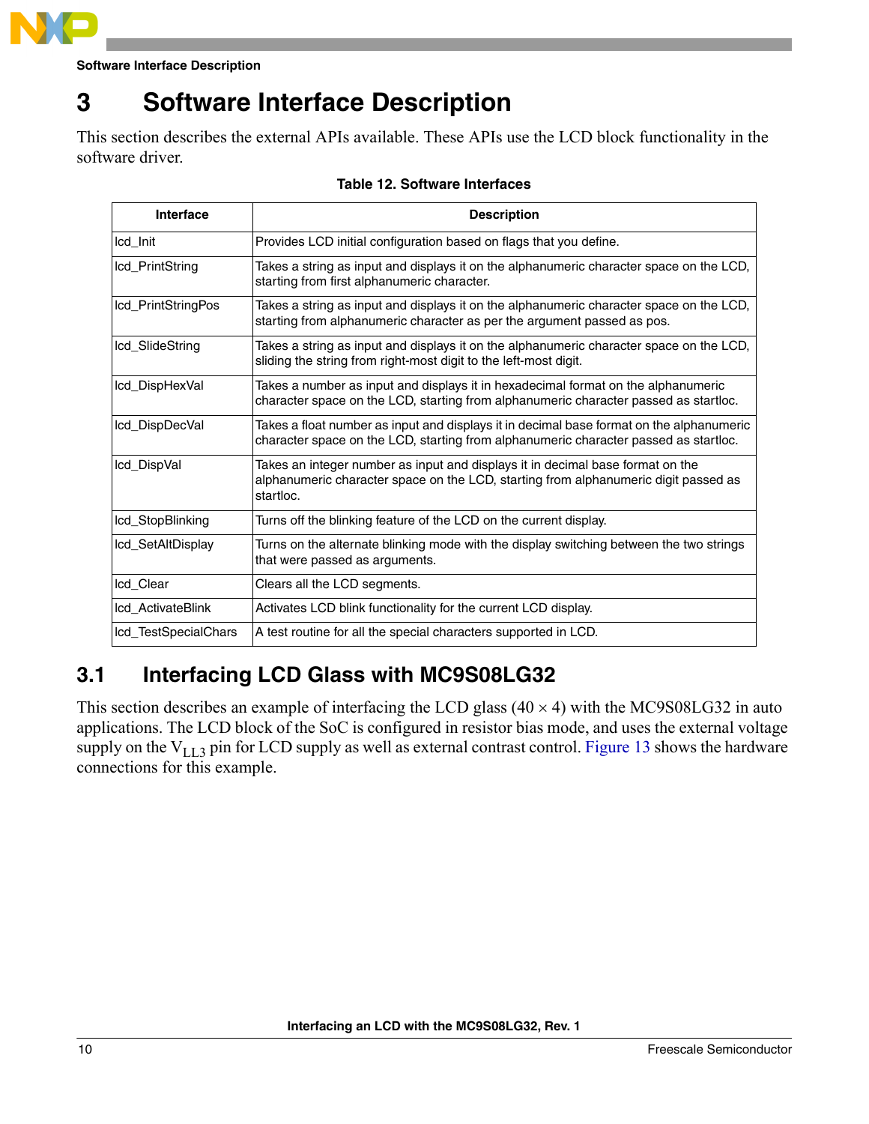

**Software Interface Description**

# <span id="page-9-0"></span>**3 Software Interface Description**

This section describes the external APIs available. These APIs use the LCD block functionality in the software driver.

| <b>Interface</b>     | <b>Description</b>                                                                                                                                                                 |
|----------------------|------------------------------------------------------------------------------------------------------------------------------------------------------------------------------------|
| Icd Init             | Provides LCD initial configuration based on flags that you define.                                                                                                                 |
| Icd PrintString      | Takes a string as input and displays it on the alphanumeric character space on the LCD,<br>starting from first alphanumeric character.                                             |
| lcd_PrintStringPos   | Takes a string as input and displays it on the alphanumeric character space on the LCD,<br>starting from alphanumeric character as per the argument passed as pos.                 |
| lcd_SlideString      | Takes a string as input and displays it on the alphanumeric character space on the LCD,<br>sliding the string from right-most digit to the left-most digit.                        |
| lcd_DispHexVal       | Takes a number as input and displays it in hexadecimal format on the alphanumeric<br>character space on the LCD, starting from alphanumeric character passed as startloc.          |
| lcd_DispDecVal       | Takes a float number as input and displays it in decimal base format on the alphanumeric<br>character space on the LCD, starting from alphanumeric character passed as startloc.   |
| lcd_DispVal          | Takes an integer number as input and displays it in decimal base format on the<br>alphanumeric character space on the LCD, starting from alphanumeric digit passed as<br>startloc. |
| lcd_StopBlinking     | Turns off the blinking feature of the LCD on the current display.                                                                                                                  |
| lcd_SetAltDisplay    | Turns on the alternate blinking mode with the display switching between the two strings<br>that were passed as arguments.                                                          |
| lcd_Clear            | Clears all the LCD segments.                                                                                                                                                       |
| Icd ActivateBlink    | Activates LCD blink functionality for the current LCD display.                                                                                                                     |
| lcd_TestSpecialChars | A test routine for all the special characters supported in LCD.                                                                                                                    |

### **Table 12. Software Interfaces**

# <span id="page-9-1"></span>**3.1 Interfacing LCD Glass with MC9S08LG32**

This section describes an example of interfacing the LCD glass  $(40 \times 4)$  with the MC9S08LG32 in auto applications. The LCD block of the SoC is configured in resistor bias mode, and uses the external voltage supply on the  $V_{LL}$ 3 pin for LCD supply as well as external contrast control. [Figure 13](#page-10-1) shows the hardware connections for this example.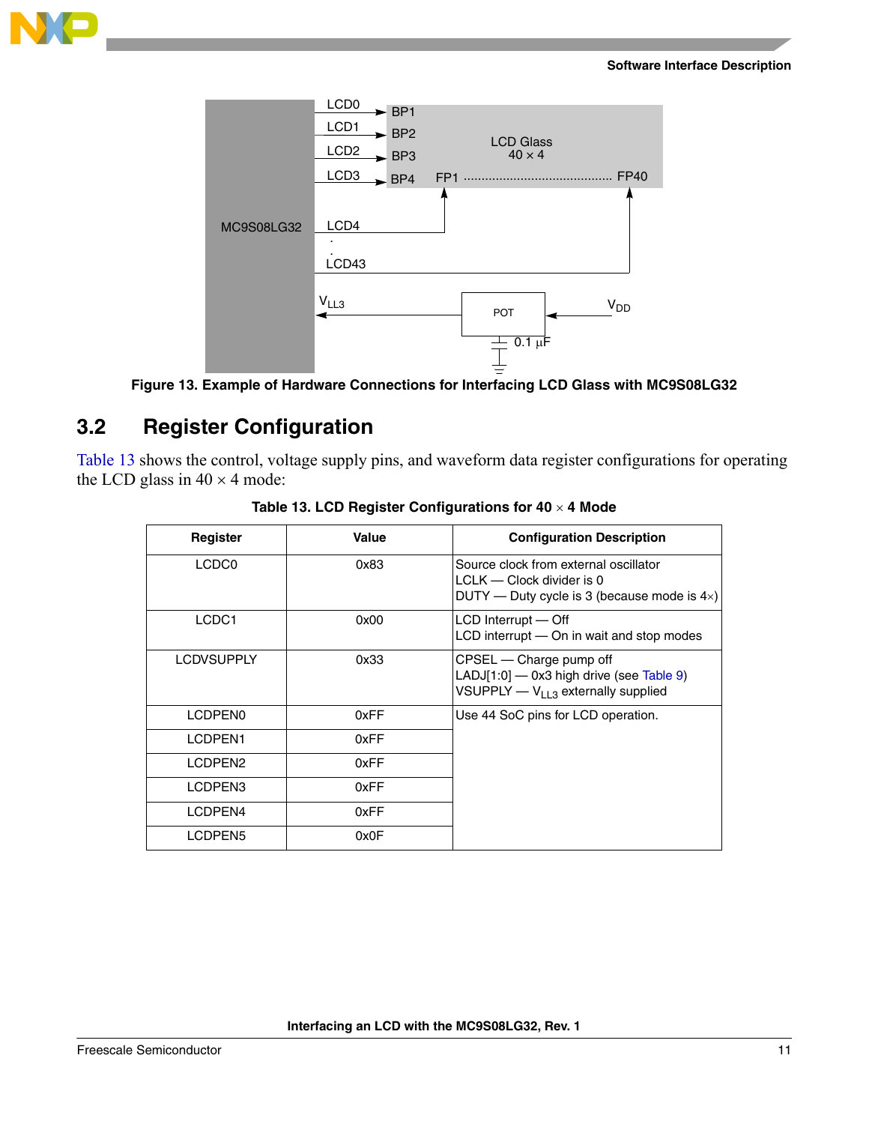

### **Software Interface Description**



**Figure 13. Example of Hardware Connections for Interfacing LCD Glass with MC9S08LG32**

# <span id="page-10-1"></span><span id="page-10-0"></span>**3.2 Register Configuration**

<span id="page-10-2"></span>[Table 13](#page-10-2) shows the control, voltage supply pins, and waveform data register configurations for operating the LCD glass in  $40 \times 4$  mode:

| Register            | Value | <b>Configuration Description</b>                                                                                            |
|---------------------|-------|-----------------------------------------------------------------------------------------------------------------------------|
| LCDC <sub>0</sub>   | 0x83  | Source clock from external oscillator<br>$LCLK$ — Clock divider is 0<br>DUTY — Duty cycle is 3 (because mode is $4\times$ ) |
| LCDC1               | 0x00  | LCD Interrupt - Off<br>LCD interrupt - On in wait and stop modes                                                            |
| <b>LCDVSUPPLY</b>   | 0x33  | CPSEL — Charge pump off<br>LADJ[1:0] - 0x3 high drive (see Table 9)<br>VSUPPLY $-V_{113}$ externally supplied               |
| LCDPEN <sub>0</sub> | 0xFF  | Use 44 SoC pins for LCD operation.                                                                                          |
| LCDPEN1             | 0xFF  |                                                                                                                             |
| LCDPEN <sub>2</sub> | 0xFF  |                                                                                                                             |
| LCDPEN3             | 0xFF  |                                                                                                                             |
| LCDPEN4             | 0xFF  |                                                                                                                             |
| LCDPEN5             | 0x0F  |                                                                                                                             |

**Table 13. LCD Register Configurations for 40** × **4 Mode**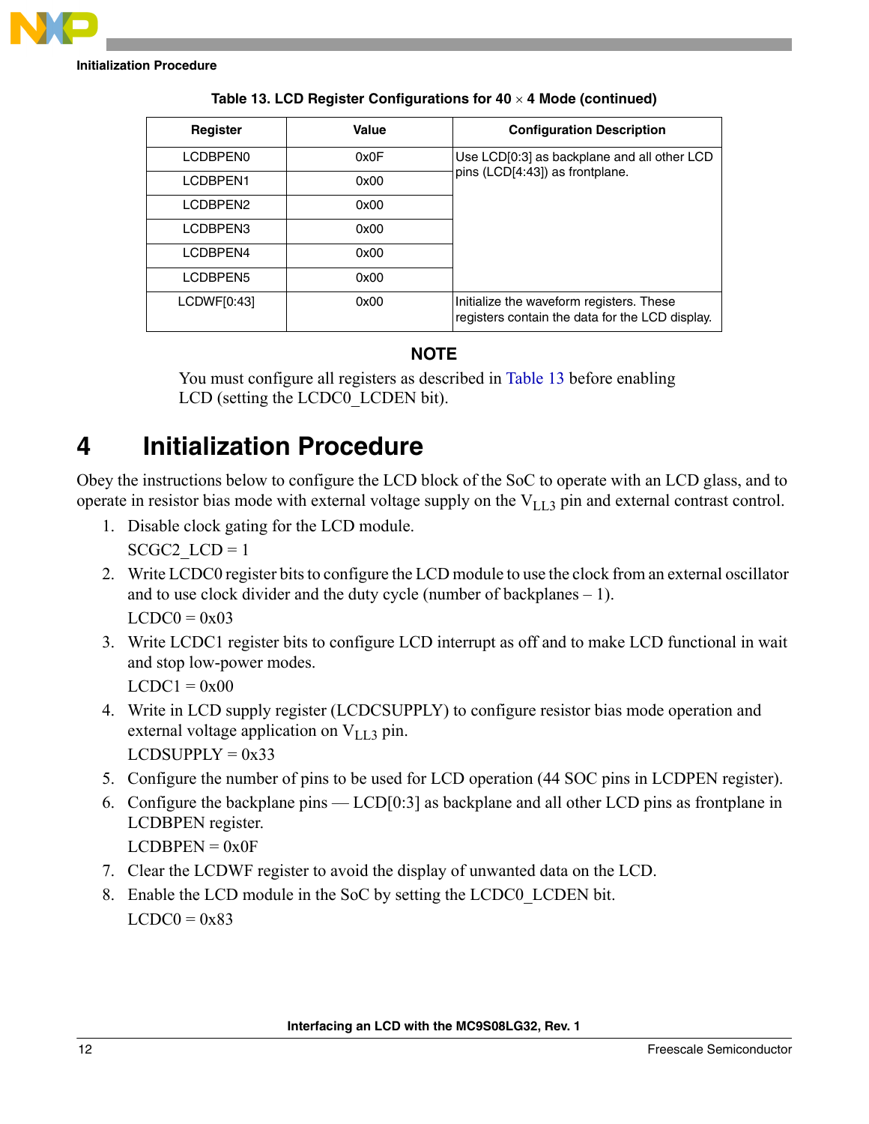

| Register    | Value | <b>Configuration Description</b>                                                            |
|-------------|-------|---------------------------------------------------------------------------------------------|
| LCDBPEN0    | 0x0F  | Use LCD[0:3] as backplane and all other LCD                                                 |
| LCDBPEN1    | 0x00  | pins (LCD[4:43]) as frontplane.                                                             |
| LCDBPEN2    | 0x00  |                                                                                             |
| LCDBPEN3    | 0x00  |                                                                                             |
| LCDBPEN4    | 0x00  |                                                                                             |
| LCDBPEN5    | 0x00  |                                                                                             |
| LCDWF[0:43] | 0x00  | Initialize the waveform registers. These<br>registers contain the data for the LCD display. |

**Table 13. LCD Register Configurations for 40** × **4 Mode (continued)**

### **NOTE**

You must configure all registers as described in [Table 13](#page-10-2) before enabling LCD (setting the LCDC0 LCDEN bit).

# <span id="page-11-0"></span>**4 Initialization Procedure**

Obey the instructions below to configure the LCD block of the SoC to operate with an LCD glass, and to operate in resistor bias mode with external voltage supply on the  $V_{1,1,3}$  pin and external contrast control.

- 1. Disable clock gating for the LCD module.  $SCGC2$   $LCD = 1$
- 2. Write LCDC0 register bits to configure the LCD module to use the clock from an external oscillator and to use clock divider and the duty cycle (number of backplanes – 1).  $LCDCO = 0x03$
- 3. Write LCDC1 register bits to configure LCD interrupt as off and to make LCD functional in wait and stop low-power modes.

 $LCDC1 = 0x00$ 

- 4. Write in LCD supply register (LCDCSUPPLY) to configure resistor bias mode operation and external voltage application on  $V_{LL}$ 3 pin.  $LCDSUPPLY =  $0x33$$
- 5. Configure the number of pins to be used for LCD operation (44 SOC pins in LCDPEN register).
- 6. Configure the backplane pins LCD[0:3] as backplane and all other LCD pins as frontplane in LCDBPEN register.

 $LCDBPEN = 0x0F$ 

- 7. Clear the LCDWF register to avoid the display of unwanted data on the LCD.
- 8. Enable the LCD module in the SoC by setting the LCDC0\_LCDEN bit.  $LCDCO = 0x83$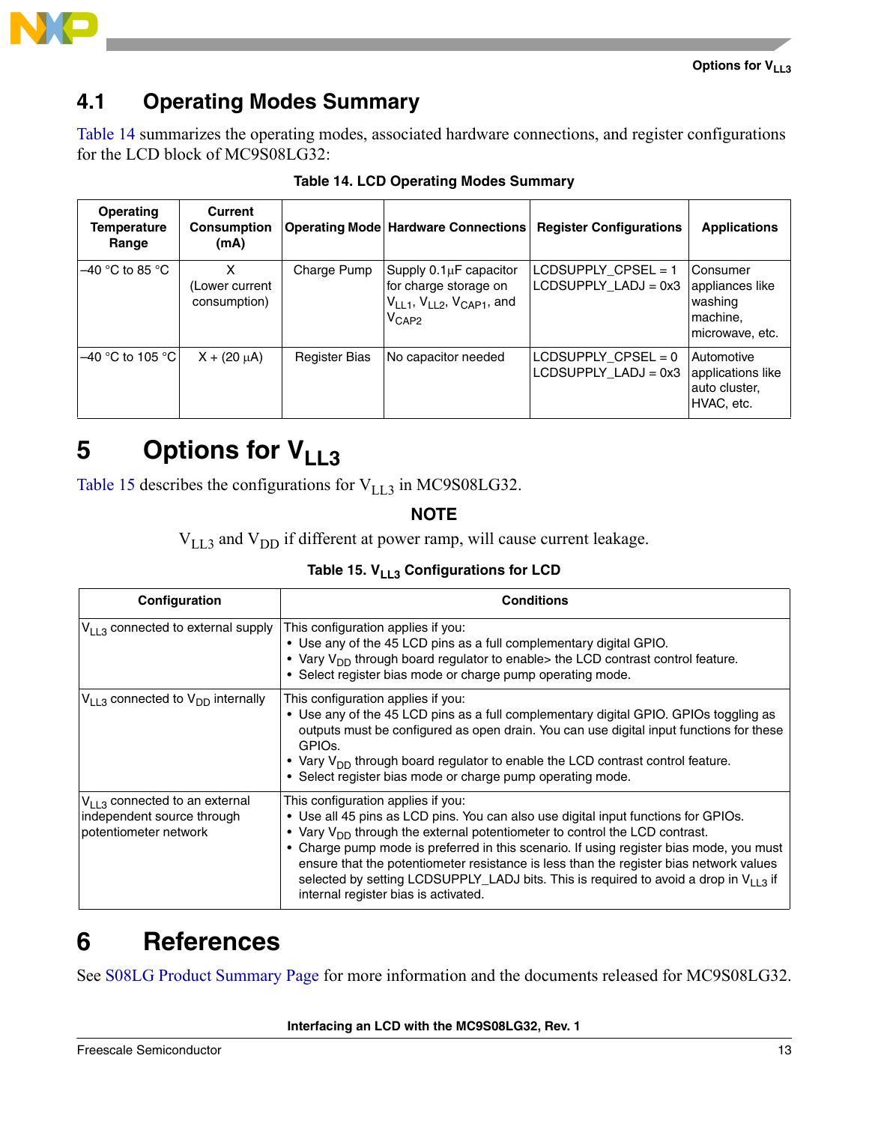



# <span id="page-12-0"></span>**4.1 Operating Modes Summary**

[Table 14](#page-12-4) summarizes the operating modes, associated hardware connections, and register configurations for the LCD block of MC9S08LG32:

<span id="page-12-4"></span>

| Operating<br>Temperature<br>Range | Current<br><b>Consumption</b><br>(mA) |                      | <b>Operating Mode Hardware Connections  </b>                                                                     | <b>Register Configurations</b>                  | <b>Applications</b>                                                   |
|-----------------------------------|---------------------------------------|----------------------|------------------------------------------------------------------------------------------------------------------|-------------------------------------------------|-----------------------------------------------------------------------|
| –40 °C to 85 °C                   | x<br>(Lower current<br>consumption)   | Charge Pump          | Supply 0.1µF capacitor<br>for charge storage on<br>$V_{LL1}$ , $V_{LL2}$ , $V_{CAP1}$ , and<br>$V_{\text{CAP2}}$ | LCDSUPPLY CPSEL = 1<br>$LCDSUPPLY$ $LADJ = 0x3$ | Consumer<br>appliances like<br>washing<br>machine.<br>microwave, etc. |
| –40 °C to 105 °C l                | $X + (20 \mu A)$                      | <b>Register Bias</b> | No capacitor needed                                                                                              | LCDSUPPLY_CPSEL = 0<br>$LCDSUPPLY_LADJ = 0x3$   | Automotive<br>applications like<br>auto cluster.<br>HVAC, etc.        |

### **Table 14. LCD Operating Modes Summary**

# <span id="page-12-1"></span>**5** Options for V<sub>LL3</sub>

[Table 15](#page-12-3) describes the configurations for  $V_{LL}$ <sub>2</sub> in MC9S08LG32.

**NOTE**

 $V_{LL3}$  and  $V_{DD}$  if different at power ramp, will cause current leakage.

Table 15. V<sub>LL3</sub> Configurations for LCD

<span id="page-12-3"></span>

| Configuration                                                                             | <b>Conditions</b>                                                                                                                                                                                                                                                                                                                                                                                                                                                                                                                   |
|-------------------------------------------------------------------------------------------|-------------------------------------------------------------------------------------------------------------------------------------------------------------------------------------------------------------------------------------------------------------------------------------------------------------------------------------------------------------------------------------------------------------------------------------------------------------------------------------------------------------------------------------|
| $V_{1,1,3}$ connected to external supply                                                  | This configuration applies if you:<br>• Use any of the 45 LCD pins as a full complementary digital GPIO.<br>• Vary V <sub>DD</sub> through board regulator to enable> the LCD contrast control feature.<br>• Select register bias mode or charge pump operating mode.                                                                                                                                                                                                                                                               |
| $V_{113}$ connected to $V_{DD}$ internally                                                | This configuration applies if you:<br>• Use any of the 45 LCD pins as a full complementary digital GPIO. GPIOs toggling as<br>outputs must be configured as open drain. You can use digital input functions for these<br>GPIO <sub>s</sub><br>• Vary V <sub>DD</sub> through board regulator to enable the LCD contrast control feature.<br>• Select register bias mode or charge pump operating mode.                                                                                                                              |
| $V_{1,3}$ connected to an external<br>independent source through<br>potentiometer network | This configuration applies if you:<br>• Use all 45 pins as LCD pins. You can also use digital input functions for GPIOs.<br>• Vary $V_{DD}$ through the external potentiometer to control the LCD contrast.<br>Charge pump mode is preferred in this scenario. If using register bias mode, you must<br>ensure that the potentiometer resistance is less than the register bias network values<br>selected by setting LCDSUPPLY_LADJ bits. This is required to avoid a drop in $V_{113}$ if<br>internal register bias is activated. |

# <span id="page-12-2"></span>**6 References**

See [S08LG Product Summary Page](http://www.freescale.com/webapp/sps/site/prod_summary.jsp?code=S08LG&fsrch=1) for more information and the documents released for MC9S08LG32.

### **Interfacing an LCD with the MC9S08LG32, Rev. 1**